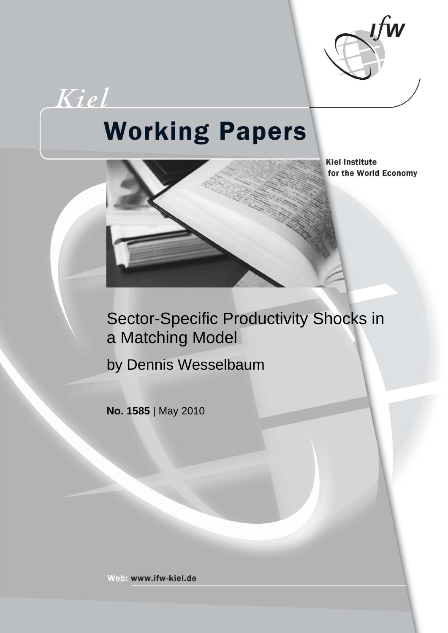

# Kiel **Working Papers**



**Kiel Institute** for the World Economy

Sector-Specific Productivity Shocks in a Matching Model

by Dennis Wesselbaum

**No. 1585** | May 2010

Web: www.ifw-kiel.de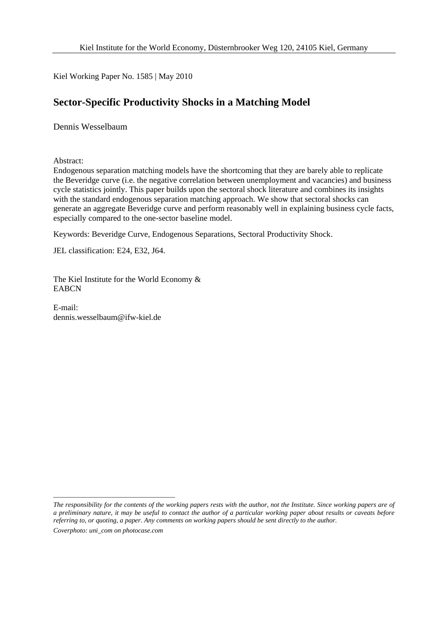Kiel Working Paper No. 1585 | May 2010

### **Sector-Specific Productivity Shocks in a Matching Model**

Dennis Wesselbaum

Abstract:

Endogenous separation matching models have the shortcoming that they are barely able to replicate the Beveridge curve (i.e. the negative correlation between unemployment and vacancies) and business cycle statistics jointly. This paper builds upon the sectoral shock literature and combines its insights with the standard endogenous separation matching approach. We show that sectoral shocks can generate an aggregate Beveridge curve and perform reasonably well in explaining business cycle facts, especially compared to the one-sector baseline model.

Keywords: Beveridge Curve, Endogenous Separations, Sectoral Productivity Shock.

JEL classification: E24, E32, J64.

The Kiel Institute for the World Economy & EABCN

E-mail: dennis.wesselbaum@ifw-kiel.de

\_\_\_\_\_\_\_\_\_\_\_\_\_\_\_\_\_\_\_\_\_\_\_\_\_\_\_\_\_\_\_\_\_\_\_\_

*The responsibility for the contents of the working papers rests with the author, not the Institute. Since working papers are of a preliminary nature, it may be useful to contact the author of a particular working paper about results or caveats before referring to, or quoting, a paper. Any comments on working papers should be sent directly to the author.*

*Coverphoto: uni\_com on photocase.com*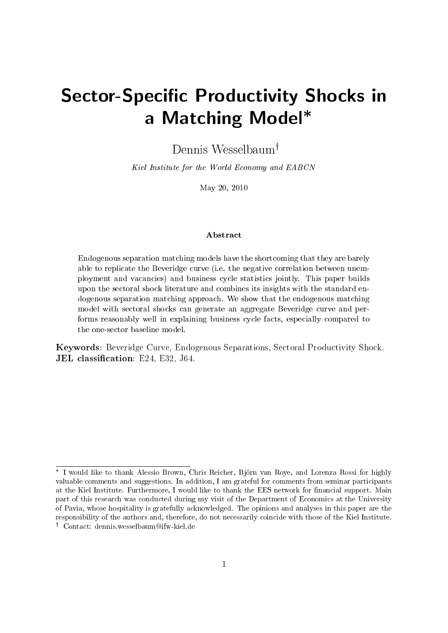# **Sector-Specific Productivity Shocks in** a Matching Model\*

Dennis Wesselbaum

Kiel Institute for the World Economy and EABCN

May 20, 2010

#### Abstract

Endogenous separation matching models have the shortcoming that they are barely able to replicate the Beveridge curve (i.e. the negative correlation between unemployment and vacancies) and business cycle statistics jointly. This paper builds upon the sectoral shock literature and combines its insights with the standard endogenous separation matching approach. We show that the endogenous matching model with sectoral shocks can generate an aggregate Beveridge curve and performs reasonably well in explaining business cycle facts, especially compared to the one-sector baseline model.

Keywords: Beveridge Curve, Endogenous Separations, Sectoral Productivity Shock. JEL classication: E24, E32, J64.

<sup>\*</sup> I would like to thank Alessio Brown, Chris Reicher, Bjorn van Roye, and Lorenza Rossi for highly valuable comments and suggestions. In addition, I am grateful for comments from seminar participants at the Kiel Institute. Furthermore, I would like to thank the EES network for financial support. Main part of this research was conducted during my visit of the Department of Economics at the University of Pavia, whose hospitality is gratefully acknowledged. The opinions and analyses in this paper are the responsibility of the authors and, therefore, do not necessarily coincide with those of the Kiel Institute. Contact: dennis.wesselbaum@ifw-kiel.de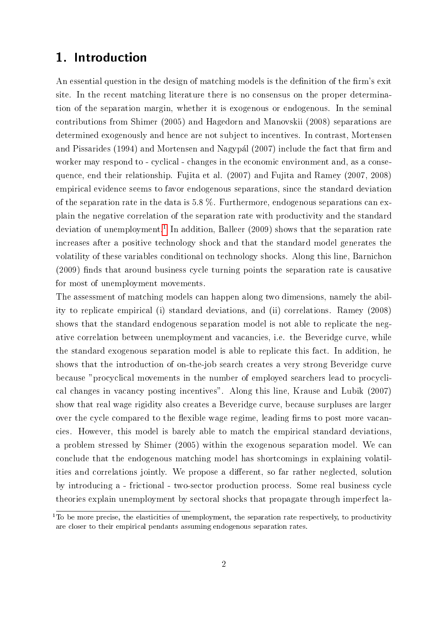# 1. Introduction

An essential question in the design of matching models is the definition of the firm's exit site. In the recent matching literature there is no consensus on the proper determination of the separation margin, whether it is exogenous or endogenous. In the seminal contributions from Shimer (2005) and Hagedorn and Manovskii (2008) separations are determined exogenously and hence are not subject to incentives. In contrast, Mortensen and Pissarides (1994) and Mortensen and Nagypal (2007) include the fact that firm and worker may respond to - cyclical - changes in the economic environment and, as a consequence, end their relationship. Fujita et al. (2007) and Fujita and Ramey (2007, 2008) empirical evidence seems to favor endogenous separations, since the standard deviation of the separation rate in the data is 5.8  $\%$ . Furthermore, endogenous separations can explain the negative correlation of the separation rate with productivity and the standard deviation of unemployment.<sup>[1](#page-3-0)</sup> In addition, Balleer (2009) shows that the separation rate increases after a positive technology shock and that the standard model generates the volatility of these variables conditional on technology shocks. Along this line, Barnichon (2009) finds that around business cycle turning points the separation rate is causative for most of unemployment movements.

The assessment of matching models can happen along two dimensions, namely the ability to replicate empirical (i) standard deviations, and (ii) correlations. Ramey (2008) shows that the standard endogenous separation model is not able to replicate the negative correlation between unemployment and vacancies, i.e. the Beveridge curve, while the standard exogenous separation model is able to replicate this fact. In addition, he shows that the introduction of on-the-job search creates a very strong Beveridge curve because "procyclical movements in the number of employed searchers lead to procyclical changes in vacancy posting incentives". Along this line, Krause and Lubik (2007) show that real wage rigidity also creates a Beveridge curve, because surpluses are larger over the cycle compared to the flexible wage regime, leading firms to post more vacancies. However, this model is barely able to match the empirical standard deviations, a problem stressed by Shimer (2005) within the exogenous separation model. We can conclude that the endogenous matching model has shortcomings in explaining volatilities and correlations jointly. We propose a different, so far rather neglected, solution by introducing a - frictional - two-sector production process. Some real business cycle theories explain unemployment by sectoral shocks that propagate through imperfect la-

<span id="page-3-0"></span> $1$ To be more precise, the elasticities of unemployment, the separation rate respectively, to productivity are closer to their empirical pendants assuming endogenous separation rates.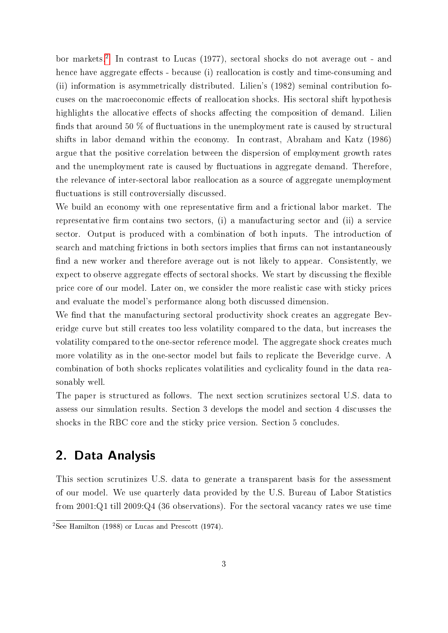bor markets.<sup>[2](#page-4-0)</sup> In contrast to Lucas (1977), sectoral shocks do not average out - and hence have aggregate effects - because (i) reallocation is costly and time-consuming and (ii) information is asymmetrically distributed. Lilien's (1982) seminal contribution focuses on the macroeconomic effects of reallocation shocks. His sectoral shift hypothesis highlights the allocative effects of shocks affecting the composition of demand. Lilien finds that around 50  $\%$  of fluctuations in the unemployment rate is caused by structural shifts in labor demand within the economy. In contrast, Abraham and Katz (1986) argue that the positive correlation between the dispersion of employment growth rates and the unemployment rate is caused by fluctuations in aggregate demand. Therefore, the relevance of inter-sectoral labor reallocation as a source of aggregate unemployment fluctuations is still controversially discussed.

We build an economy with one representative firm and a frictional labor market. The representative firm contains two sectors,  $(i)$  a manufacturing sector and  $(ii)$  a service sector. Output is produced with a combination of both inputs. The introduction of search and matching frictions in both sectors implies that firms can not instantaneously find a new worker and therefore average out is not likely to appear. Consistently, we expect to observe aggregate effects of sectoral shocks. We start by discussing the flexible price core of our model. Later on, we consider the more realistic case with sticky prices and evaluate the model's performance along both discussed dimension.

We find that the manufacturing sectoral productivity shock creates an aggregate Beveridge curve but still creates too less volatility compared to the data, but increases the volatility compared to the one-sector reference model. The aggregate shock creates much more volatility as in the one-sector model but fails to replicate the Beveridge curve. A combination of both shocks replicates volatilities and cyclicality found in the data reasonably well.

The paper is structured as follows. The next section scrutinizes sectoral U.S. data to assess our simulation results. Section 3 develops the model and section 4 discusses the shocks in the RBC core and the sticky price version. Section 5 concludes.

# 2. Data Analysis

This section scrutinizes U.S. data to generate a transparent basis for the assessment of our model. We use quarterly data provided by the U.S. Bureau of Labor Statistics from 2001:Q1 till 2009:Q4 (36 observations). For the sectoral vacancy rates we use time

<span id="page-4-0"></span> $2\overline{See}$  Hamilton (1988) or Lucas and Prescott (1974).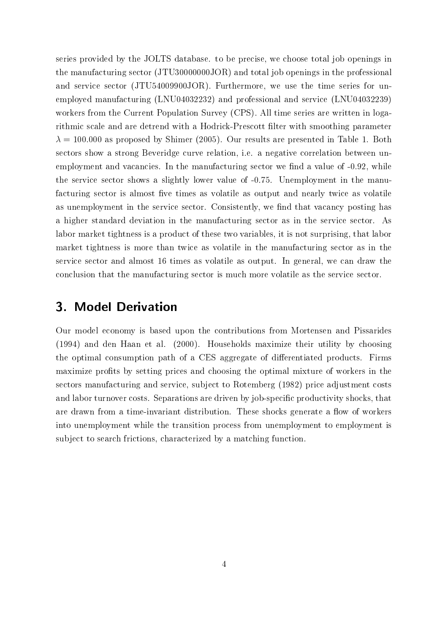series provided by the JOLTS database. to be precise, we choose total job openings in the manufacturing sector (JTU30000000JOR) and total job openings in the professional and service sector (JTU54009900JOR). Furthermore, we use the time series for unemployed manufacturing (LNU04032232) and professional and service (LNU04032239) workers from the Current Population Survey (CPS). All time series are written in logarithmic scale and are detrend with a Hodrick-Prescott lter with smoothing parameter  $\lambda = 100.000$  as proposed by Shimer (2005). Our results are presented in Table 1. Both sectors show a strong Beveridge curve relation, i.e. a negative correlation between unemployment and vacancies. In the manufacturing sector we find a value of  $-0.92$ , while the service sector shows a slightly lower value of -0.75. Unemployment in the manufacturing sector is almost five times as volatile as output and nearly twice as volatile as unemployment in the service sector. Consistently, we find that vacancy posting has a higher standard deviation in the manufacturing sector as in the service sector. As labor market tightness is a product of these two variables, it is not surprising, that labor market tightness is more than twice as volatile in the manufacturing sector as in the service sector and almost 16 times as volatile as output. In general, we can draw the conclusion that the manufacturing sector is much more volatile as the service sector.

## 3. Model Derivation

Our model economy is based upon the contributions from Mortensen and Pissarides (1994) and den Haan et al. (2000). Households maximize their utility by choosing the optimal consumption path of a CES aggregate of differentiated products. Firms maximize prots by setting prices and choosing the optimal mixture of workers in the sectors manufacturing and service, subject to Rotemberg (1982) price adjustment costs and labor turnover costs. Separations are driven by job-specific productivity shocks, that are drawn from a time-invariant distribution. These shocks generate a flow of workers into unemployment while the transition process from unemployment to employment is subject to search frictions, characterized by a matching function.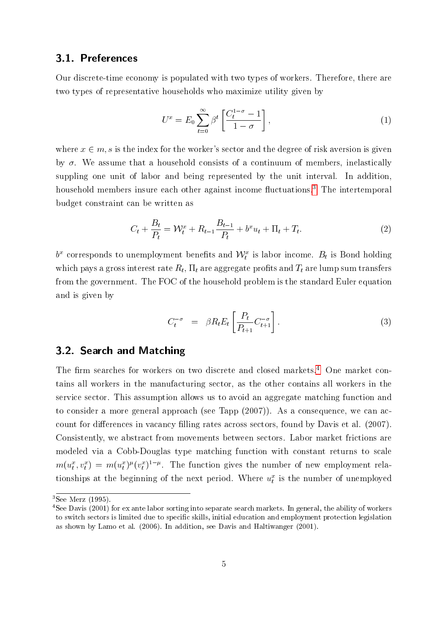#### 3.1. Preferences

Our discrete-time economy is populated with two types of workers. Therefore, there are two types of representative households who maximize utility given by

$$
U^x = E_0 \sum_{t=0}^{\infty} \beta^t \left[ \frac{C_t^{1-\sigma} - 1}{1 - \sigma} \right],
$$
\n(1)

where  $x \in m$ , s is the index for the worker's sector and the degree of risk aversion is given by  $\sigma$ . We assume that a household consists of a continuum of members, inelastically suppling one unit of labor and being represented by the unit interval. In addition, household members insure each other against income fluctuations.<sup>[3](#page-6-0)</sup> The intertemporal budget constraint can be written as

$$
C_t + \frac{B_t}{P_t} = \mathcal{W}_t^x + R_{t-1} \frac{B_{t-1}}{P_t} + b^x u_t + \Pi_t + T_t.
$$
 (2)

 $b^x$  corresponds to unemployment benefits and  $\mathcal{W}^x_t$  is labor income.  $B_t$  is Bond holding which pays a gross interest rate  $R_t, \Pi_t$  are aggregate profits and  $T_t$  are lump sum transfers from the government. The FOC of the household problem is the standard Euler equation and is given by

$$
C_t^{-\sigma} = \beta R_t E_t \left[ \frac{P_t}{P_{t+1}} C_{t+1}^{-\sigma} \right]. \tag{3}
$$

#### 3.2. Search and Matching

The firm searches for workers on two discrete and closed markets.<sup>[4](#page-6-1)</sup> One market contains all workers in the manufacturing sector, as the other contains all workers in the service sector. This assumption allows us to avoid an aggregate matching function and to consider a more general approach (see Tapp (2007)). As a consequence, we can account for differences in vacancy filling rates across sectors, found by Davis et al. (2007). Consistently, we abstract from movements between sectors. Labor market frictions are modeled via a Cobb-Douglas type matching function with constant returns to scale  $m(u_t^x, v_t^x) = m(u_t^x)^\mu (v_t^x)^{1-\mu}$ . The function gives the number of new employment relationships at the beginning of the next period. Where  $u_t^x$  is the number of unemployed

<span id="page-6-0"></span><sup>3</sup>See Merz (1995).

<span id="page-6-1"></span><sup>4</sup>See Davis (2001) for ex ante labor sorting into separate search markets. In general, the ability of workers to switch sectors is limited due to specic skills, initial education and employment protection legislation as shown by Lamo et al. (2006). In addition, see Davis and Haltiwanger (2001).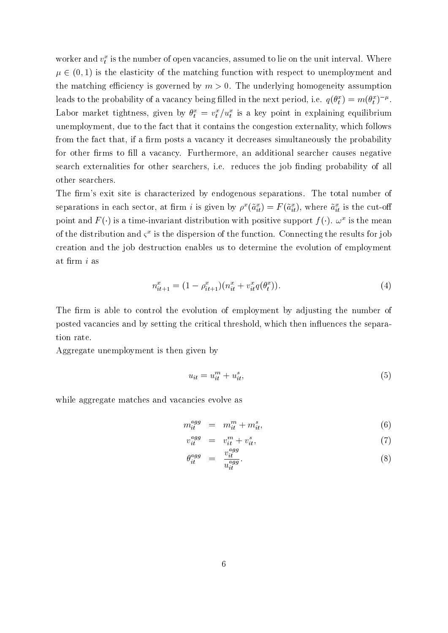worker and  $v_t^x$  is the number of open vacancies, assumed to lie on the unit interval. Where  $\mu \in (0, 1)$  is the elasticity of the matching function with respect to unemployment and the matching efficiency is governed by  $m > 0$ . The underlying homogeneity assumption leads to the probability of a vacancy being filled in the next period, i.e.  $q(\theta_t^x) = m(\theta_t^x)^{-\mu}$ . Labor market tightness, given by  $\theta_t^x = v_t^x/u_t^x$  is a key point in explaining equilibrium unemployment, due to the fact that it contains the congestion externality, which follows from the fact that, if a firm posts a vacancy it decreases simultaneously the probability for other firms to fill a vacancy. Furthermore, an additional searcher causes negative search externalities for other searchers, i.e. reduces the job finding probability of all other searchers.

The firm's exit site is characterized by endogenous separations. The total number of separations in each sector, at firm i is given by  $\rho^x(\tilde{a}^x_{it}) = F(\tilde{a}^x_{it})$ , where  $\tilde{a}^x_{it}$  is the cut-off point and  $F(\cdot)$  is a time-invariant distribution with positive support  $f(\cdot)$ .  $\omega^x$  is the mean of the distribution and  $\varsigma^x$  is the dispersion of the function. Connecting the results for job creation and the job destruction enables us to determine the evolution of employment at firm  $i$  as

$$
n_{it+1}^x = (1 - \rho_{it+1}^x)(n_{it}^x + v_{it}^x q(\theta_t^x)).
$$
\n(4)

The firm is able to control the evolution of employment by adjusting the number of posted vacancies and by setting the critical threshold, which then in
uences the separation rate.

Aggregate unemployment is then given by

$$
u_{it} = u_{it}^m + u_{it}^s,\tag{5}
$$

while aggregate matches and vacancies evolve as

$$
m_{it}^{agg} = m_{it}^m + m_{it}^s,\tag{6}
$$

$$
v_{it}^{agg} = v_{it}^m + v_{it}^s,\tag{7}
$$

$$
\theta_{it}^{agg} = \frac{v_{it}^{agg}}{u_{it}^{agg}}.\tag{8}
$$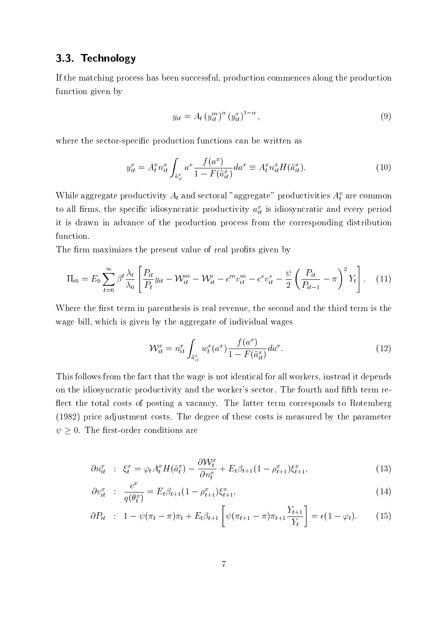#### 3.3. Technology

If the matching process has been successful, production commences along the production function given by

$$
y_{it} = A_t (y_{it}^m)^\alpha (y_{it}^s)^{1-\alpha}, \qquad (9)
$$

where the sector-specific production functions can be written as

$$
y_{it}^{x} = A_{t}^{x} n_{it}^{x} \int_{\tilde{a}_{it}^{x}} a^{x} \frac{f(a^{x})}{1 - F(\tilde{a}_{it}^{x})} da^{x} \equiv A_{t}^{x} n_{it}^{x} H(\tilde{a}_{it}^{x}). \tag{10}
$$

While aggregate productivity  $A_t$  and sectoral "aggregate" productivities  $A_t^x$  are common to all firms, the specific idiosyncratic productivity  $a_{it}^x$  is idiosyncratic and every period it is drawn in advance of the production process from the corresponding distribution function.

The firm maximizes the present value of real profits given by

$$
\Pi_{i0} = E_0 \sum_{t=0}^{\infty} \beta^t \frac{\lambda_t}{\lambda_0} \left[ \frac{P_{it}}{P_t} y_{it} - \mathcal{W}_{it}^m - \mathcal{W}_{it}^s - c^m v_{it}^m - c^s v_{it}^s - \frac{\psi}{2} \left( \frac{P_{it}}{P_{it-1}} - \pi \right)^2 Y_t \right].
$$
 (11)

Where the first term in parenthesis is real revenue, the second and the third term is the wage bill, which is given by the aggregate of individual wages

$$
\mathcal{W}_{it}^{x} = n_{it}^{x} \int_{\tilde{a}_{it}^{x}} w_{t}^{x}(a^{x}) \frac{f(a^{x})}{1 - F(\tilde{a}_{it}^{x})} da^{x}.
$$
\n(12)

This follows from the fact that the wage is not identical for all workers, instead it depends on the idiosyncratic productivity and the worker's sector. The fourth and fth term re flect the total costs of posting a vacancy. The latter term corresponds to Rotemberg (1982) price adjustment costs. The degree of these costs is measured by the parameter  $\psi \geq 0$ . The first-order conditions are

$$
\partial n_{it}^x \quad : \quad \xi_t^x = \varphi_t A_t^x H(\tilde{a}_t^x) - \frac{\partial \mathcal{W}_t^x}{\partial n_t^x} + E_t \beta_{t+1} (1 - \rho_{t+1}^x) \xi_{t+1}^x,\tag{13}
$$

<span id="page-8-0"></span>
$$
\partial v_{it}^x : \frac{c^x}{q(\theta_t^x)} = E_t \beta_{t+1} (1 - \rho_{t+1}^x) \xi_{t+1}^x,\tag{14}
$$

$$
\partial P_{it} : 1 - \psi(\pi_t - \pi)\pi_t + E_t \beta_{t+1} \left[ \psi(\pi_{t+1} - \pi)\pi_{t+1} \frac{Y_{t+1}}{Y_t} \right] = \epsilon (1 - \varphi_t). \tag{15}
$$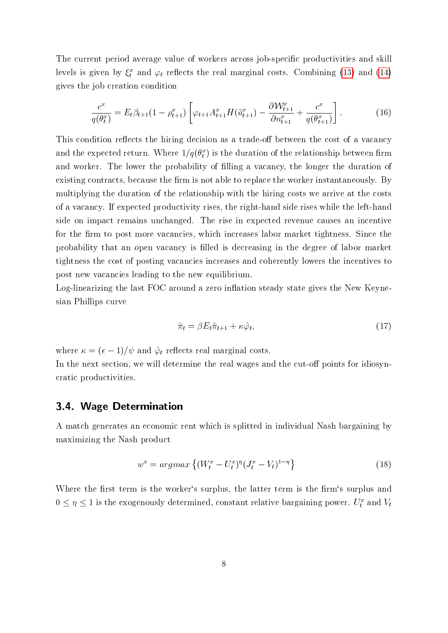The current period average value of workers across job-specic productivities and skill levels is given by  $\xi_t^x$  and  $\varphi_t$  reflects the real marginal costs. Combining [\(13\)](#page-8-0) and [\(14\)](#page-8-0) gives the job creation condition

$$
\frac{c^x}{q(\theta_t^x)} = E_t \beta_{t+1} (1 - \rho_{t+1}^x) \left[ \varphi_{t+1} A_{t+1}^x H(\tilde{a}_{t+1}^x) - \frac{\partial \mathcal{W}_{t+1}^x}{\partial n_{t+1}^x} + \frac{c^x}{q(\theta_{t+1}^x)} \right]. \tag{16}
$$

This condition reflects the hiring decision as a trade-off between the cost of a vacancy and the expected return. Where  $1/q(\theta_t^x)$  is the duration of the relationship between firm and worker. The lower the probability of filling a vacancy, the longer the duration of existing contracts, because the firm is not able to replace the worker instantaneously. By multiplying the duration of the relationship with the hiring costs we arrive at the costs of a vacancy. If expected productivity rises, the right-hand side rises while the left-hand side on impact remains unchanged. The rise in expected revenue causes an incentive for the firm to post more vacancies, which increases labor market tightness. Since the probability that an open vacancy is lled is decreasing in the degree of labor market tightness the cost of posting vacancies increases and coherently lowers the incentives to post new vacancies leading to the new equilibrium.

Log-linearizing the last FOC around a zero inflation steady state gives the New Keynesian Phillips curve

$$
\hat{\pi}_t = \beta E_t \hat{\pi}_{t+1} + \kappa \hat{\varphi}_t,\tag{17}
$$

where  $\kappa = (\epsilon - 1)/\psi$  and  $\hat{\varphi}_t$  reflects real marginal costs.

In the next section, we will determine the real wages and the cut-off points for idiosyncratic productivities.

#### 3.4. Wage Determination

A match generates an economic rent which is splitted in individual Nash bargaining by maximizing the Nash product

$$
w^{x} = argmax \left\{ (W_{t}^{x} - U_{t}^{x})^{\eta} (J_{t}^{x} - V_{t})^{1-\eta} \right\}
$$
\n(18)

Where the first term is the worker's surplus, the latter term is the firm's surplus and  $0 \leq \eta \leq 1$  is the exogenously determined, constant relative bargaining power.  $U_t^x$  and  $V_t$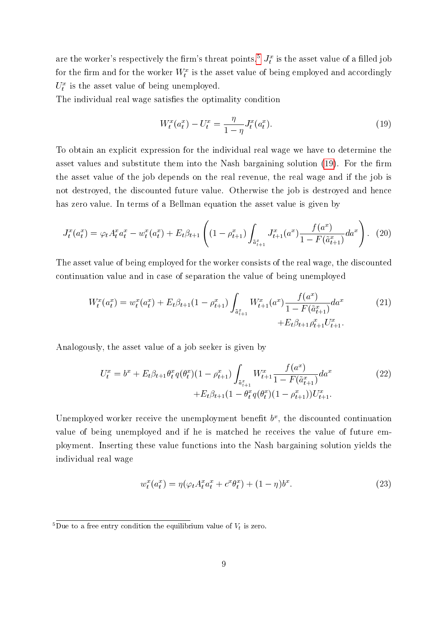are the worker's respectively the firm's threat points. $^5$  $^5$   $J_t^x$  is the asset value of a filled job for the firm and for the worker  $W_t^x$  is the asset value of being employed and accordingly  $U_t^x$  is the asset value of being unemployed.

The individual real wage satisfies the optimality condition

<span id="page-10-1"></span>
$$
W_t^x(a_t^x) - U_t^x = \frac{\eta}{1 - \eta} J_t^x(a_t^x).
$$
\n(19)

To obtain an explicit expression for the individual real wage we have to determine the asset values and substitute them into the Nash bargaining solution  $(19)$ . For the firm the asset value of the job depends on the real revenue, the real wage and if the job is not destroyed, the discounted future value. Otherwise the job is destroyed and hence has zero value. In terms of a Bellman equation the asset value is given by

$$
J_t^x(a_t^x) = \varphi_t A_t^x a_t^x - w_t^x(a_t^x) + E_t \beta_{t+1} \left( (1 - \rho_{t+1}^x) \int_{\tilde{a}_{t+1}^x} J_{t+1}^x(a^x) \frac{f(a^x)}{1 - F(\tilde{a}_{t+1}^x)} da^x \right). \tag{20}
$$

The asset value of being employed for the worker consists of the real wage, the discounted continuation value and in case of separation the value of being unemployed

$$
W_t^x(a_t^x) = w_t^x(a_t^x) + E_t \beta_{t+1} (1 - \rho_{t+1}^x) \int_{\tilde{a}_{t+1}^x} W_{t+1}^x(a^x) \frac{f(a^x)}{1 - F(\tilde{a}_{t+1}^x)} da^x + E_t \beta_{t+1} \rho_{t+1}^x U_{t+1}^x.
$$
 (21)

Analogously, the asset value of a job seeker is given by

$$
U_t^x = b^x + E_t \beta_{t+1} \theta_t^x q(\theta_t^x) (1 - \rho_{t+1}^x) \int_{\tilde{a}_{t+1}^x} W_{t+1}^x \frac{f(a^x)}{1 - F(\tilde{a}_{t+1}^x)} da^x
$$
  
+ 
$$
E_t \beta_{t+1} (1 - \theta_t^x q(\theta_t^x) (1 - \rho_{t+1}^x)) U_{t+1}^x.
$$
 (22)

Unemployed worker receive the unemployment benefit  $b^x$ , the discounted continuation value of being unemployed and if he is matched he receives the value of future employment. Inserting these value functions into the Nash bargaining solution yields the individual real wage

$$
w_t^x(a_t^x) = \eta(\varphi_t A_t^x a_t^x + c^x \theta_t^x) + (1 - \eta)b^x.
$$
 (23)

<span id="page-10-0"></span> $5\overline{\text{Due to a free entry condition the equilibrium value of }V_t \text{ is zero.}}$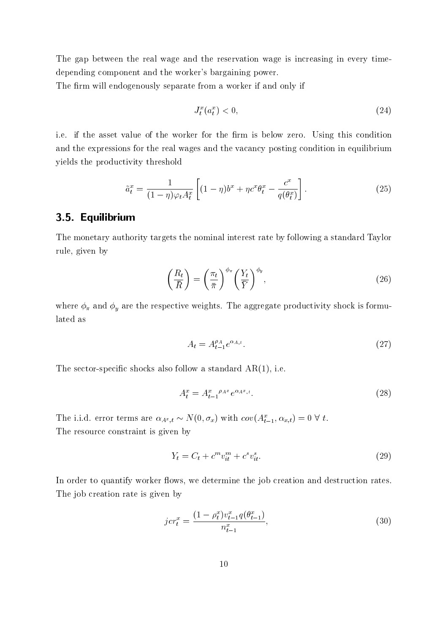The gap between the real wage and the reservation wage is increasing in every timedepending component and the worker's bargaining power.

The firm will endogenously separate from a worker if and only if

$$
J_t^x(a_t^x) < 0,\tag{24}
$$

i.e. if the asset value of the worker for the firm is below zero. Using this condition and the expressions for the real wages and the vacancy posting condition in equilibrium yields the productivity threshold

$$
\tilde{a}_t^x = \frac{1}{(1-\eta)\varphi_t A_t^x} \left[ (1-\eta)b^x + \eta c^x \theta_t^x - \frac{c^x}{q(\theta_t^x)} \right]. \tag{25}
$$

#### 3.5. Equilibrium

The monetary authority targets the nominal interest rate by following a standard Taylor rule, given by

$$
\left(\frac{R_t}{\bar{R}}\right) = \left(\frac{\pi_t}{\bar{\pi}}\right)^{\phi_{\pi}} \left(\frac{Y_t}{\bar{Y}}\right)^{\phi_y},\tag{26}
$$

where  $\phi_{\pi}$  and  $\phi_{y}$  are the respective weights. The aggregate productivity shock is formulated as

$$
A_t = A_{t-1}^{\rho_A} e^{\alpha_{A,t}}.\tag{27}
$$

The sector-specific shocks also follow a standard  $AR(1)$ , i.e.

$$
A_t^x = A_{t-1}^x \rho_{A^x} e^{\alpha_{A^x,t}}.
$$
\n(28)

The i.i.d. error terms are  $\alpha_{A^x,t} \sim N(0, \sigma_x)$  with  $cov(A_{t-1}^x, \alpha_{x,t}) = 0 \forall t$ . The resource constraint is given by

$$
Y_t = C_t + c^m v_{it}^m + c^s v_{it}^s.
$$
\n(29)

In order to quantify worker flows, we determine the job creation and destruction rates. The job creation rate is given by

$$
jcr_t^x = \frac{(1 - \rho_t^x)v_{t-1}^x q(\theta_{t-1}^x)}{n_{t-1}^x},\tag{30}
$$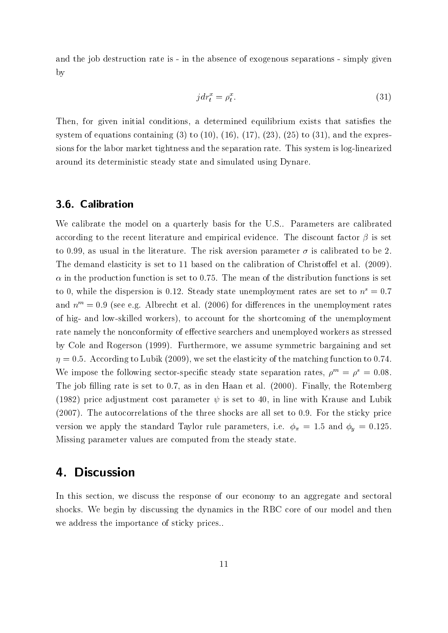and the job destruction rate is - in the absence of exogenous separations - simply given by

$$
jdr_t^x = \rho_t^x. \tag{31}
$$

Then, for given initial conditions, a determined equilibrium exists that satisfies the system of equations containing  $(3)$  to  $(10)$ ,  $(16)$ ,  $(17)$ ,  $(23)$ ,  $(25)$  to  $(31)$ , and the expressions for the labor market tightness and the separation rate. This system is log-linearized around its deterministic steady state and simulated using Dynare.

#### 3.6. Calibration

We calibrate the model on a quarterly basis for the U.S.. Parameters are calibrated according to the recent literature and empirical evidence. The discount factor  $\beta$  is set to 0.99, as usual in the literature. The risk aversion parameter  $\sigma$  is calibrated to be 2. The demand elasticity is set to 11 based on the calibration of Christoffel et al. (2009).  $\alpha$  in the production function is set to 0.75. The mean of the distribution functions is set to 0, while the dispersion is 0.12. Steady state unemployment rates are set to  $n^s = 0.7$ and  $n^m = 0.9$  (see e.g. Albrecht et al. (2006) for differences in the unemployment rates of hig- and low-skilled workers), to account for the shortcoming of the unemployment rate namely the nonconformity of effective searchers and unemployed workers as stressed by Cole and Rogerson (1999). Furthermore, we assume symmetric bargaining and set  $\eta = 0.5$ . According to Lubik (2009), we set the elasticity of the matching function to 0.74. We impose the following sector-specific steady state separation rates,  $\rho^m = \rho^s = 0.08$ . The job filling rate is set to 0.7, as in den Haan et al. (2000). Finally, the Rotemberg (1982) price adjustment cost parameter  $\psi$  is set to 40, in line with Krause and Lubik (2007). The autocorrelations of the three shocks are all set to 0.9. For the sticky price version we apply the standard Taylor rule parameters, i.e.  $\phi_{\pi} = 1.5$  and  $\phi_{y} = 0.125$ . Missing parameter values are computed from the steady state.

## 4. Discussion

In this section, we discuss the response of our economy to an aggregate and sectoral shocks. We begin by discussing the dynamics in the RBC core of our model and then we address the importance of sticky prices..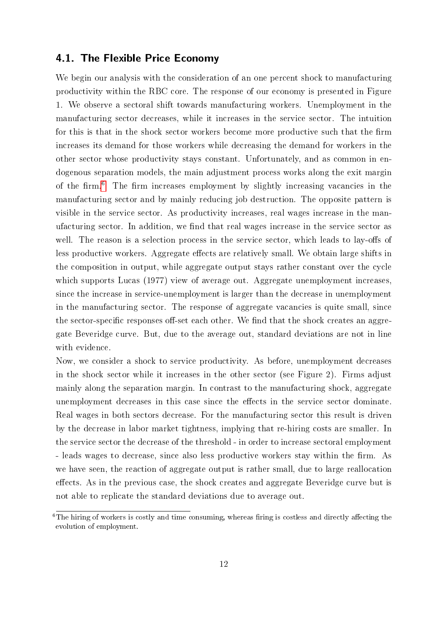#### 4.1. The Flexible Price Economy

We begin our analysis with the consideration of an one percent shock to manufacturing productivity within the RBC core. The response of our economy is presented in Figure 1. We observe a sectoral shift towards manufacturing workers. Unemployment in the manufacturing sector decreases, while it increases in the service sector. The intuition for this is that in the shock sector workers become more productive such that the firm increases its demand for those workers while decreasing the demand for workers in the other sector whose productivity stays constant. Unfortunately, and as common in endogenous separation models, the main adjustment process works along the exit margin of the firm.<sup>[6](#page-13-0)</sup> The firm increases employment by slightly increasing vacancies in the manufacturing sector and by mainly reducing job destruction. The opposite pattern is visible in the service sector. As productivity increases, real wages increase in the manufacturing sector. In addition, we find that real wages increase in the service sector as well. The reason is a selection process in the service sector, which leads to lay-offs of less productive workers. Aggregate effects are relatively small. We obtain large shifts in the composition in output, while aggregate output stays rather constant over the cycle which supports Lucas (1977) view of average out. Aggregate unemployment increases, since the increase in service-unemployment is larger than the decrease in unemployment in the manufacturing sector. The response of aggregate vacancies is quite small, since the sector-specific responses off-set each other. We find that the shock creates an aggregate Beveridge curve. But, due to the average out, standard deviations are not in line with evidence.

Now, we consider a shock to service productivity. As before, unemployment decreases in the shock sector while it increases in the other sector (see Figure 2). Firms adjust mainly along the separation margin. In contrast to the manufacturing shock, aggregate unemployment decreases in this case since the effects in the service sector dominate. Real wages in both sectors decrease. For the manufacturing sector this result is driven by the decrease in labor market tightness, implying that re-hiring costs are smaller. In the service sector the decrease of the threshold - in order to increase sectoral employment - leads wages to decrease, since also less productive workers stay within the firm. As we have seen, the reaction of aggregate output is rather small, due to large reallocation effects. As in the previous case, the shock creates and aggregate Beveridge curve but is not able to replicate the standard deviations due to average out.

<span id="page-13-0"></span> ${}^{6}$ The hiring of workers is costly and time consuming, whereas firing is costless and directly affecting the evolution of employment.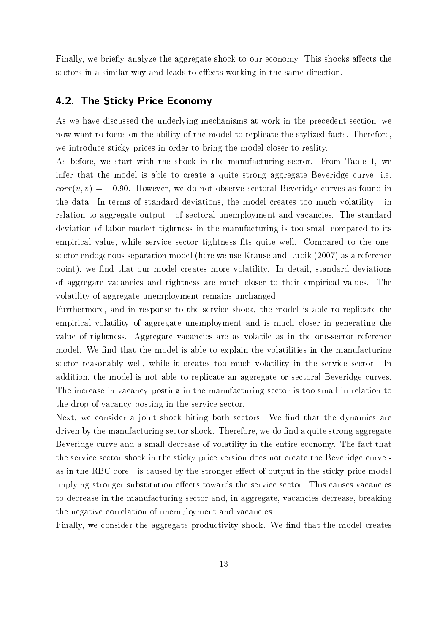Finally, we briefly analyze the aggregate shock to our economy. This shocks affects the sectors in a similar way and leads to effects working in the same direction.

#### 4.2. The Sticky Price Economy

As we have discussed the underlying mechanisms at work in the precedent section, we now want to focus on the ability of the model to replicate the stylized facts. Therefore, we introduce sticky prices in order to bring the model closer to reality.

As before, we start with the shock in the manufacturing sector. From Table 1, we infer that the model is able to create a quite strong aggregate Beveridge curve, i.e.  $corr(u, v) = -0.90$ . However, we do not observe sectoral Beveridge curves as found in the data. In terms of standard deviations, the model creates too much volatility - in relation to aggregate output - of sectoral unemployment and vacancies. The standard deviation of labor market tightness in the manufacturing is too small compared to its empirical value, while service sector tightness fits quite well. Compared to the onesector endogenous separation model (here we use Krause and Lubik (2007) as a reference point), we find that our model creates more volatility. In detail, standard deviations of aggregate vacancies and tightness are much closer to their empirical values. The volatility of aggregate unemployment remains unchanged.

Furthermore, and in response to the service shock, the model is able to replicate the empirical volatility of aggregate unemployment and is much closer in generating the value of tightness. Aggregate vacancies are as volatile as in the one-sector reference model. We find that the model is able to explain the volatilities in the manufacturing sector reasonably well, while it creates too much volatility in the service sector. In addition, the model is not able to replicate an aggregate or sectoral Beveridge curves. The increase in vacancy posting in the manufacturing sector is too small in relation to the drop of vacancy posting in the service sector.

Next, we consider a joint shock hiting both sectors. We find that the dynamics are driven by the manufacturing sector shock. Therefore, we do find a quite strong aggregate Beveridge curve and a small decrease of volatility in the entire economy. The fact that the service sector shock in the sticky price version does not create the Beveridge curve as in the RBC core - is caused by the stronger effect of output in the sticky price model implying stronger substitution effects towards the service sector. This causes vacancies to decrease in the manufacturing sector and, in aggregate, vacancies decrease, breaking the negative correlation of unemployment and vacancies.

Finally, we consider the aggregate productivity shock. We find that the model creates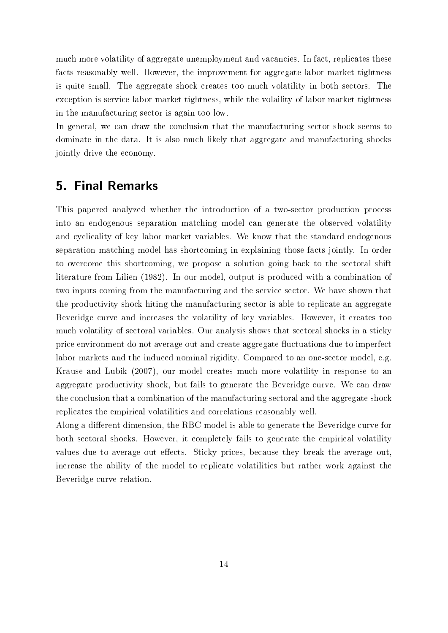much more volatility of aggregate unemployment and vacancies. In fact, replicates these facts reasonably well. However, the improvement for aggregate labor market tightness is quite small. The aggregate shock creates too much volatility in both sectors. The exception is service labor market tightness, while the volaility of labor market tightness in the manufacturing sector is again too low.

In general, we can draw the conclusion that the manufacturing sector shock seems to dominate in the data. It is also much likely that aggregate and manufacturing shocks jointly drive the economy.

# 5. Final Remarks

This papered analyzed whether the introduction of a two-sector production process into an endogenous separation matching model can generate the observed volatility and cyclicality of key labor market variables. We know that the standard endogenous separation matching model has shortcoming in explaining those facts jointly. In order to overcome this shortcoming, we propose a solution going back to the sectoral shift literature from Lilien (1982). In our model, output is produced with a combination of two inputs coming from the manufacturing and the service sector. We have shown that the productivity shock hiting the manufacturing sector is able to replicate an aggregate Beveridge curve and increases the volatility of key variables. However, it creates too much volatility of sectoral variables. Our analysis shows that sectoral shocks in a sticky price environment do not average out and create aggregate fluctuations due to imperfect labor markets and the induced nominal rigidity. Compared to an one-sector model, e.g. Krause and Lubik (2007), our model creates much more volatility in response to an aggregate productivity shock, but fails to generate the Beveridge curve. We can draw the conclusion that a combination of the manufacturing sectoral and the aggregate shock replicates the empirical volatilities and correlations reasonably well.

Along a different dimension, the RBC model is able to generate the Beveridge curve for both sectoral shocks. However, it completely fails to generate the empirical volatility values due to average out effects. Sticky prices, because they break the average out, increase the ability of the model to replicate volatilities but rather work against the Beveridge curve relation.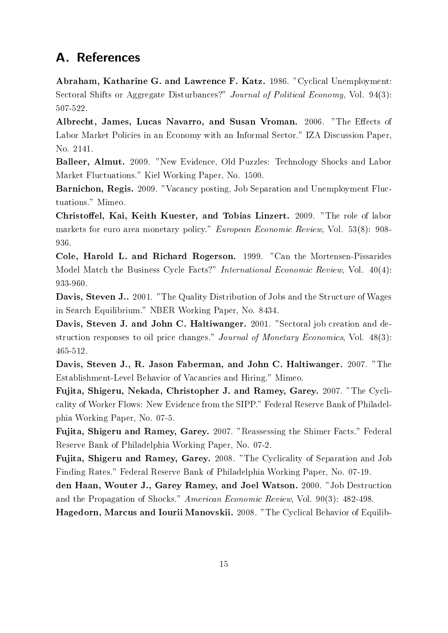# A. References

Abraham, Katharine G. and Lawrence F. Katz. 1986. "Cyclical Unemployment: Sectoral Shifts or Aggregate Disturbances?" Journal of Political Economy, Vol. 94(3): 507-522.

Albrecht, James, Lucas Navarro, and Susan Vroman. 2006. "The Effects of Labor Market Policies in an Economy with an Informal Sector." IZA Discussion Paper, No. 2141.

Balleer, Almut. 2009. "New Evidence, Old Puzzles: Technology Shocks and Labor Market Fluctuations." Kiel Working Paper, No. 1500.

Barnichon, Regis. 2009. "Vacancy posting, Job Separation and Unemployment Fluctuations." Mimeo.

Christoffel, Kai, Keith Kuester, and Tobias Linzert. 2009. "The role of labor markets for euro area monetary policy." European Economic Review, Vol. 53(8): 908- 936.

Cole, Harold L. and Richard Rogerson. 1999. "Can the Mortensen-Pissarides Model Match the Business Cycle Facts?" International Economic Review, Vol. 40(4): 933-960.

Davis, Steven J.. 2001. "The Quality Distribution of Jobs and the Structure of Wages in Search Equilibrium." NBER Working Paper, No. 8434.

Davis, Steven J. and John C. Haltiwanger. 2001. "Sectoral job creation and destruction responses to oil price changes." Journal of Monetary Economics, Vol. 48(3): 465-512.

Davis, Steven J., R. Jason Faberman, and John C. Haltiwanger. 2007. "The Establishment-Level Behavior of Vacancies and Hiring." Mimeo.

Fujita, Shigeru, Nekada, Christopher J. and Ramey, Garey. 2007. "The Cyclicality of Worker Flows: New Evidence from the SIPP." Federal Reserve Bank of Philadelphia Working Paper, No. 07-5.

Fujita, Shigeru and Ramey, Garey. 2007. "Reassessing the Shimer Facts." Federal Reserve Bank of Philadelphia Working Paper, No. 07-2.

Fujita, Shigeru and Ramey, Garey. 2008. "The Cyclicality of Separation and Job Finding Rates." Federal Reserve Bank of Philadelphia Working Paper, No. 07-19.

den Haan, Wouter J., Garey Ramey, and Joel Watson. 2000. "Job Destruction and the Propagation of Shocks." American Economic Review, Vol. 90(3): 482-498.

Hagedorn, Marcus and Iourii Manovskii. 2008. "The Cyclical Behavior of Equilib-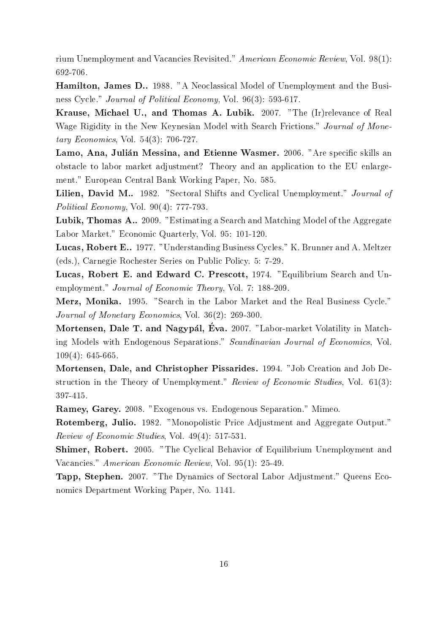rium Unemployment and Vacancies Revisited." American Economic Review, Vol. 98(1): 692-706.

Hamilton, James D.. 1988. "A Neoclassical Model of Unemployment and the Business Cycle." Journal of Political Economy, Vol. 96(3): 593-617.

Krause, Michael U., and Thomas A. Lubik. 2007. "The (Ir)relevance of Real Wage Rigidity in the New Keynesian Model with Search Frictions." Journal of Monetary Economics, Vol. 54(3): 706-727.

Lamo, Ana, Julián Messina, and Etienne Wasmer. 2006. "Are specific skills an obstacle to labor market adjustment? Theory and an application to the EU enlargement." European Central Bank Working Paper, No. 585.

Lilien, David M.. 1982. "Sectoral Shifts and Cyclical Unemployment." Journal of Political Economy, Vol. 90(4): 777-793.

Lubik, Thomas A.. 2009. "Estimating a Search and Matching Model of the Aggregate Labor Market." Economic Quarterly, Vol. 95: 101-120.

Lucas, Robert E.. 1977. "Understanding Business Cycles." K. Brunner and A. Meltzer (eds.), Carnegie Rochester Series on Public Policy. 5: 7-29.

Lucas, Robert E. and Edward C. Prescott, 1974. "Equilibrium Search and Unemployment." *Journal of Economic Theory*, Vol. 7: 188-209.

Merz, Monika. 1995. "Search in the Labor Market and the Real Business Cycle." Journal of Monetary Economics, Vol. 36(2): 269-300.

Mortensen, Dale T. and Nagypál, Éva. 2007. "Labor-market Volatility in Matching Models with Endogenous Separations." Scandinavian Journal of Economics, Vol. 109(4): 645-665.

Mortensen, Dale, and Christopher Pissarides. 1994. "Job Creation and Job Destruction in the Theory of Unemployment." Review of Economic Studies, Vol. 61(3): 397-415.

Ramey, Garey. 2008. "Exogenous vs. Endogenous Separation." Mimeo.

Rotemberg, Julio. 1982. "Monopolistic Price Adjustment and Aggregate Output." Review of Economic Studies, Vol. 49(4): 517-531.

Shimer, Robert. 2005. "The Cyclical Behavior of Equilibrium Unemployment and Vacancies." American Economic Review, Vol. 95(1): 25-49.

Tapp, Stephen. 2007. "The Dynamics of Sectoral Labor Adjustment." Queens Economics Department Working Paper, No. 1141.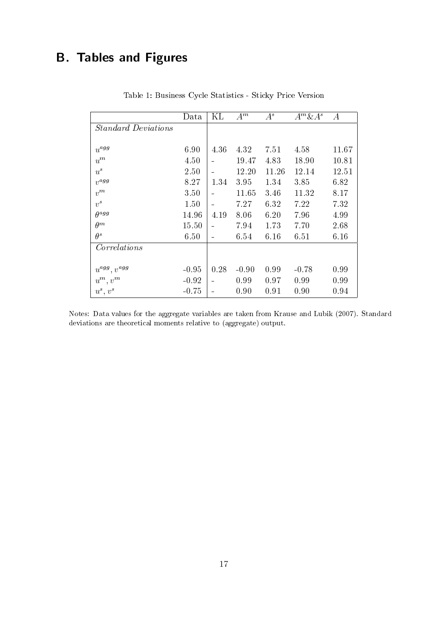# B. Tables and Figures

|                            | Data    | ΚL   | $A^m$   | $A^s$ | $A^m \& A^s$ | $\boldsymbol{A}$ |
|----------------------------|---------|------|---------|-------|--------------|------------------|
| <i>Standard Deviations</i> |         |      |         |       |              |                  |
|                            |         |      |         |       |              |                  |
| $u^{agg}$                  | 6.90    | 4.36 | 4.32    | 7.51  | 4.58         | 11.67            |
| $u^m$                      | 4.50    |      | 19.47   | 4.83  | 18.90        | 10.81            |
| $u^s$                      | 2.50    |      | 12.20   | 11.26 | 12.14        | 12.51            |
| $v^{agg}$                  | 8.27    | 1.34 | 3.95    | 1.34  | 3.85         | 6.82             |
| $v^m$                      | 3.50    |      | 11.65   | 3.46  | 11.32        | 8.17             |
| $v^s$                      | 1.50    |      | 7.27    | 6.32  | 7.22         | 7.32             |
| $\theta$ <sup>agg</sup>    | 14.96   | 4.19 | 8.06    | 6.20  | 7.96         | 4.99             |
| $\theta^m$                 | 15.50   |      | 7.94    | 1.73  | 7.70         | 2.68             |
| $\theta^s$                 | 6.50    |      | 6.54    | 6.16  | 6.51         | 6.16             |
| Correlations               |         |      |         |       |              |                  |
|                            |         |      |         |       |              |                  |
| $u^{agg}$ , $v^{agg}$      | $-0.95$ | 0.28 | $-0.90$ | 0.99  | $-0.78$      | 0.99             |
| $u^m, v^m$                 | $-0.92$ |      | 0.99    | 0.97  | 0.99         | 0.99             |
| $u^s, v^s$                 | $-0.75$ |      | 0.90    | 0.91  | 0.90         | 0.94             |

Table 1: Business Cycle Statistics - Sticky Price Version

Notes: Data values for the aggregate variables are taken from Krause and Lubik (2007). Standard deviations are theoretical moments relative to (aggregate) output.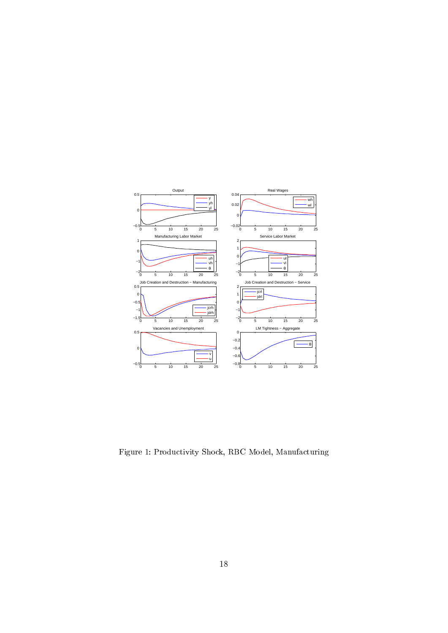

Figure 1: Productivity Shock, RBC Model, Manufacturing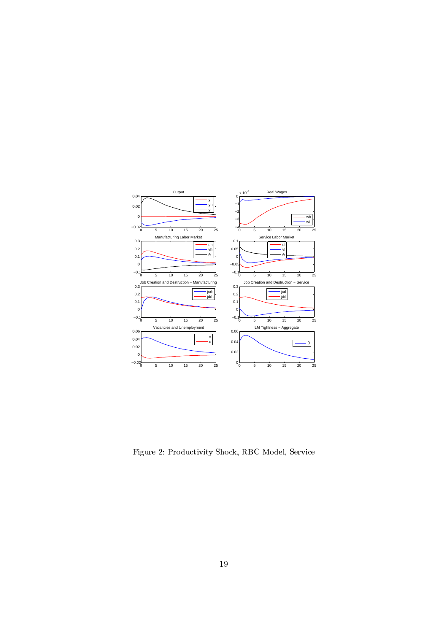

Figure 2: Productivity Shock, RBC Model, Service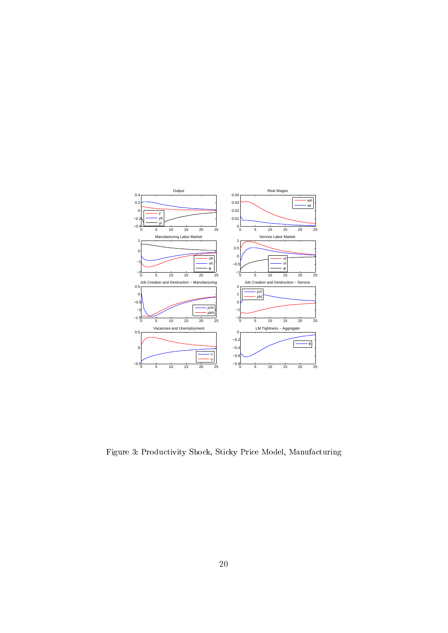

Figure 3: Productivity Shock, Sticky Price Model, Manufacturing